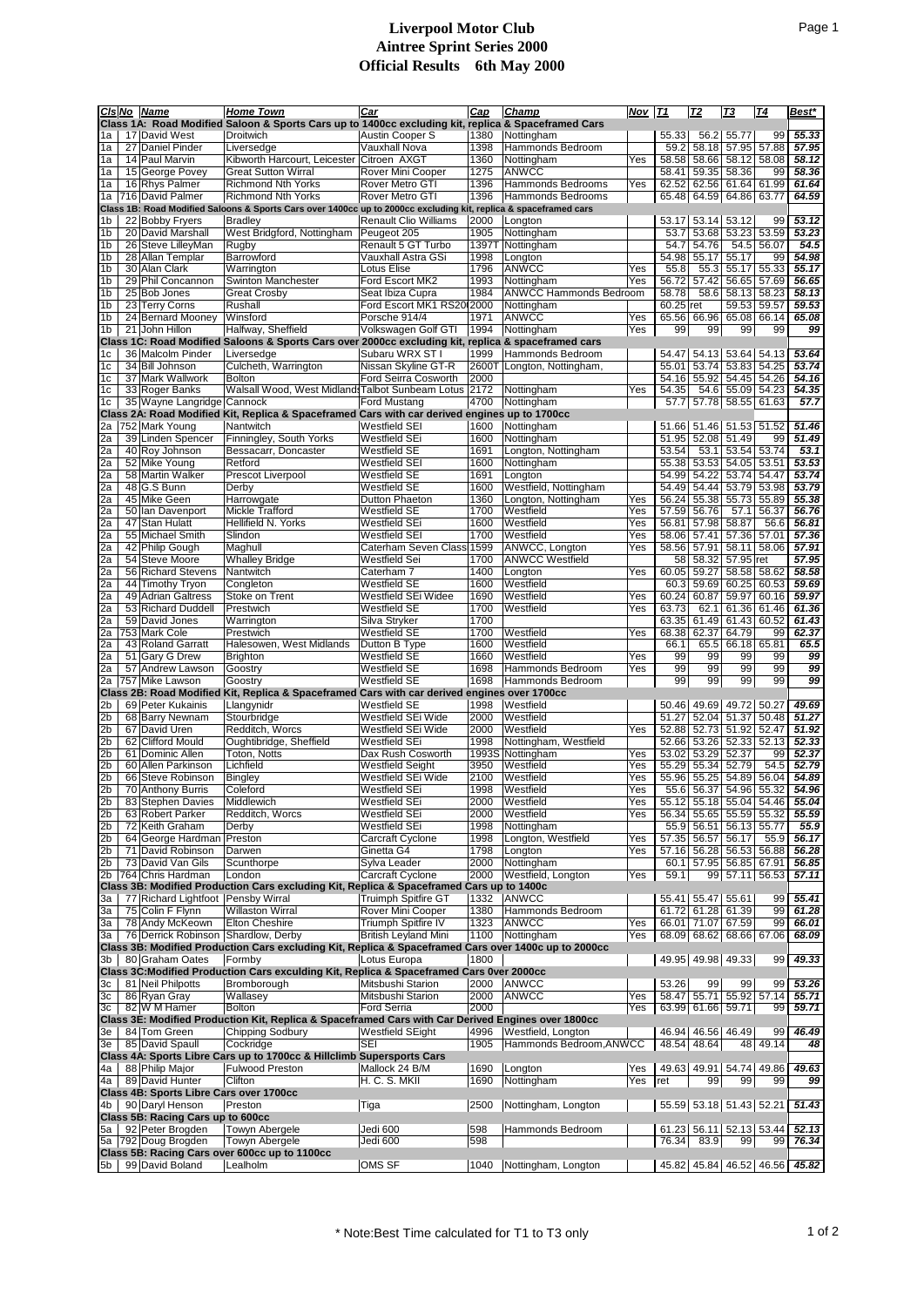## **Liverpool Motor Club Aintree Sprint Series 2000 Official Results 6th May 2000**

|                                                                                              |    | CIs No Name                             | <b>Home Town</b>                                                                                                 | Car                                       | Cap           | Champ                            | Nov | <b>T1</b>       | <u> T2</u>                       | Т3             | Т4             | Best*              |
|----------------------------------------------------------------------------------------------|----|-----------------------------------------|------------------------------------------------------------------------------------------------------------------|-------------------------------------------|---------------|----------------------------------|-----|-----------------|----------------------------------|----------------|----------------|--------------------|
|                                                                                              |    |                                         | Class 1A: Road Modified Saloon & Sports Cars up to 1400cc excluding kit, replica & Spaceframed Cars              |                                           |               |                                  |     |                 |                                  |                |                |                    |
| 1a                                                                                           |    | 17 David West                           | Droitwich                                                                                                        | Austin Cooper S                           | 1380          | Nottingham                       |     | 55.33           | 56.2                             | 55.77          | 99             | 55.33              |
| 1a                                                                                           |    | 27 Daniel Pinder                        | Liversedge                                                                                                       | Vauxhall Nova                             | 1398          | Hammonds Bedroom                 |     | 59.2            | 58.18                            | 57.95          | 57.88          | 57.95              |
| 1a                                                                                           |    | 14 Paul Marvin                          | Kibworth Harcourt, Leicester Citroen AXGT                                                                        |                                           | 1360          | Nottingham                       | Yes | 58.58           | 58.66                            | 58.12          | 58.08          | 58.12              |
| 1a                                                                                           |    | 15 George Povey                         | <b>Great Sutton Wirral</b>                                                                                       | Rover Mini Cooper                         | 1275          | ANWCC                            |     | 58.41           | 59.35                            | 58.36          | 99             | 58.36              |
| 1a                                                                                           |    | 16 Rhys Palmer                          | <b>Richmond Nth Yorks</b>                                                                                        | Rover Metro GTI                           | 1396          | <b>Hammonds Bedrooms</b>         | Yes | 62.52           | 62.56                            | 61.64          | 61.99          | 61.64              |
| 1a                                                                                           |    | 716 David Palmer                        | <b>Richmond Nth Yorks</b>                                                                                        | <b>Rover Metro GTI</b>                    | 1396          | Hammonds Bedrooms                |     |                 | 65.48 64.59                      | 64.86          | 63.77          | 64.59              |
|                                                                                              |    |                                         | Class 1B: Road Modified Saloons & Sports Cars over 1400cc up to 2000cc excluding kit, replica & spaceframed cars |                                           |               |                                  |     |                 |                                  |                |                |                    |
| l 1b                                                                                         |    | 22 Bobby Fryers                         | <b>Bradley</b>                                                                                                   | <b>Renault Clio Williams</b>              | 2000          | Longton                          |     |                 | 53.17 53.14 53.12                | 53.23          | 99             | 53.12<br>53.23     |
| 1 <sub>b</sub><br>1 <sub>b</sub>                                                             |    | 20 David Marshall<br>26 Steve LilleyMan | West Bridgford, Nottingham<br>Rugby                                                                              | Peugeot 205<br>Renault 5 GT Turbo         | 1905<br>13977 | Nottingham<br>Nottingham         |     | 53.7<br>54.7    | 53.68<br>54.76                   | 54.5           | 53.59<br>56.07 | 54.5               |
| 1 <sub>b</sub>                                                                               |    | 28 Allan Templar                        | Barrowford                                                                                                       | Vauxhall Astra GSi                        | 1998          | Longton                          |     | 54.98           | 55.17                            | 55.17          | 99             | 54.98              |
| 1 <sub>b</sub>                                                                               |    | 30 Alan Clark                           | Warrington                                                                                                       | Lotus Elise                               | 1796          | ANWCC                            | Yes | 55.8            | 55.3                             | 55.17          | 55.33          | 55.17              |
| 1 <sub>b</sub>                                                                               |    | 29 Phil Concannon                       | <b>Swinton Manchester</b>                                                                                        | Ford Escort MK2                           | 1993          | Nottingham                       | Yes | 56.72           | 57.42                            | 56.65          | 57.69          | 56.65              |
| 1 <sub>b</sub>                                                                               |    | 25 Bob Jones                            | <b>Great Crosby</b>                                                                                              | Seat Ibiza Cupra                          | 1984          | <b>ANWCC Hammonds Bedroom</b>    |     | 58.78           | 58.6                             | 58.13          | 58.23          | 58.13              |
| 1 <sub>b</sub>                                                                               |    | 23 Terry Corns                          | Rushall                                                                                                          | Ford Escort MK1 RS20(2000                 |               | Nottingham                       |     | $60.25$ ret     |                                  | 59.53          | 59.57          | 59.53              |
| 1 <sub>b</sub>                                                                               |    | 24 Bernard Mooney                       | Winsford                                                                                                         | Porsche 914/4                             | 1971          | <b>ANWCC</b>                     | Yes | 65.56           | 66.96                            | 65.08          | 66.14          | 65.08              |
| 1 <sub>b</sub>                                                                               |    | 21 John Hillon                          | Halfway, Sheffield                                                                                               | Volkswagen Golf GTI                       | 1994          | Nottingham                       | Yes | 99              | 99                               | 99             | 99             | 99                 |
|                                                                                              |    |                                         | Class 1C: Road Modified Saloons & Sports Cars over 2000cc excluding kit, replica & spaceframed cars              |                                           |               |                                  |     |                 |                                  |                |                |                    |
| 1c                                                                                           |    | 36 Malcolm Pinder                       | Liversedge                                                                                                       | Subaru WRX ST I                           | 1999          | Hammonds Bedroom                 |     | 54.47           |                                  | 54.13 53.64    | 54.13          | 53.64              |
| 1c                                                                                           |    | 34 Bill Johnson                         | Culcheth, Warrington                                                                                             | Nissan Skyline GT-R                       | 2600T         | Longton, Nottingham,             |     | 55.01           | 53.74                            | 53.83          | 54.25          | 53.74              |
| 1 <sub>c</sub>                                                                               |    | 37 Mark Wallwork                        | <b>Bolton</b>                                                                                                    | Ford Seirra Cosworth                      | 2000          |                                  |     | 54.16           | 55.92                            | 54.45          | 54.26          | 54.16              |
| 1 <sub>c</sub>                                                                               |    | 33 Roger Banks                          | Walsall Wood, West Midland Talbot Sunbeam Lotus                                                                  |                                           | 2172          | Nottingham                       | Yes | 54.35           | 54.6                             | 55.09          | 54.23          | 54.35              |
| 1c                                                                                           |    | 35 Wayne Langridge Cannock              |                                                                                                                  | <b>Ford Mustang</b>                       | 4700          | Nottingham                       |     | 57.7            | 57.78                            | 58.55          | 61.63          | 57.7               |
|                                                                                              |    |                                         | Class 2A: Road Modified Kit, Replica & Spaceframed Cars with car derived engines up to 1700cc                    |                                           |               |                                  |     |                 |                                  |                |                |                    |
| 2a                                                                                           |    | 752 Mark Young                          | Nantwitch                                                                                                        | <b>Westfield SEI</b>                      | 1600          | Nottingham                       |     |                 | 51.66 51.46 51.53                |                | 51.52          | 51.46              |
| 2a                                                                                           |    | 39 Linden Spencer                       | Finningley, South Yorks                                                                                          | Westfield SEi                             | 1600          | Nottingham                       |     | 51.95           | 52.08                            | 51.49          | 99             | 51.49              |
| 2a                                                                                           |    | 40 Roy Johnson                          | Bessacarr, Doncaster                                                                                             | <b>Westfield SE</b>                       | 1691<br>1600  | Longton, Nottingham              |     | 53.54<br>55.38  | 53.1<br>53.53                    | 53.54<br>54.05 | 53.74          | 53.1<br>53.53      |
| 2a                                                                                           |    | 52 Mike Young                           | Retford                                                                                                          | Westfield SEI                             |               | Nottingham                       |     |                 |                                  | 53.74          | 53.51          | 53.74              |
| 2a<br>2a                                                                                     | 48 | 58 Martin Walker<br>G.S Bunn            | Prescot Liverpool<br>Derby                                                                                       | Westfield SE<br><b>Westfield SE</b>       | 1691<br>1600  | Longton<br>Westfield, Nottingham |     | 54.99<br>54.49  | 54.22<br>54.44                   | 53.79          | 54.47<br>53.98 | 53.79              |
| 2a                                                                                           |    | 45 Mike Geen                            | Harrowgate                                                                                                       | Dutton Phaeton                            | 1360          | Longton, Nottingham              | Yes | 56.24           | 55.38                            | 55.73          | 55.89          | 55.38              |
| 2a                                                                                           |    | 50 Ian Davenport                        | Mickle Trafford                                                                                                  | Westfield SE                              | 1700          | Westfield                        | Yes |                 | 57.59 56.76                      | 57.1           | 56.37          | 56.76              |
| 2a                                                                                           | 47 | Stan Hulatt                             | Hellifield N. Yorks                                                                                              | Westfield SEi                             | 1600          | Westfield                        | Yes | 56.81           | 57.98                            | 58.87          | 56.6           | 56.81              |
| 2a                                                                                           |    | 55 Michael Smith                        | Slindon                                                                                                          | Westfield SEI                             | 1700          | Westfield                        | Yes | 58.06           | 57.41                            | 57.36          | 57.01          | 57.36              |
| 2a                                                                                           |    | 42 Philip Gough                         | Maghull                                                                                                          | Caterham Seven Class                      | 1599          | ANWCC, Longton                   | Yes | 58.56           | 57.91                            | 58.11          | 58.06          | 57.91              |
| 2a                                                                                           |    | 54 Steve Moore                          | <b>Whalley Bridge</b>                                                                                            | Westfield Sei                             | 1700          | <b>ANWCC Westfield</b>           |     | 58 <sub>1</sub> | 58.32                            | 57.95          | ret            | 57.95              |
| 2a                                                                                           |    | 56 Richard Stevens                      | Nantwitch                                                                                                        | Caterham 7                                | 1400          | Longton                          | Yes | 60.05           | 59.27                            | 58.58          | 58.62          | 58.58              |
| 2a                                                                                           | 44 | <b>Timothy Tryon</b>                    | Congleton                                                                                                        | Westfield SE                              | 1600          | Westfield                        |     | 60.3            | 59.69                            | 60.25          | 60.53          | 59.69              |
| 2a                                                                                           |    | 49 Adrian Galtress                      | Stoke on Trent                                                                                                   | Westfield SEi Widee                       | 1690          | Westfield                        | Yes | 60.24           | 60.87                            | 59.97          | 60.16          | 59.97              |
| 2a                                                                                           |    | 53 Richard Duddell                      | Prestwich                                                                                                        | Westfield SE                              | 1700          | Westfield                        | Yes | 63.73           | 62.1                             | 61.36          | 61.46          | 61.36              |
| 2a                                                                                           |    | 59 David Jones                          | Warrington                                                                                                       | Silva Stryker                             | 1700          |                                  |     | 63.35           | 61.49                            | 61.43          | 60.52          | 61.43              |
| 2a                                                                                           |    | 753 Mark Cole                           | Prestwich                                                                                                        | <b>Westfield SE</b>                       | 1700          | Westfield                        | Yes | 68.38           | 62.37                            | 64.79          | 99             | 62.37              |
| 2a                                                                                           |    | 43 Roland Garratt                       | Halesowen, West Midlands                                                                                         | Dutton B Type                             | 1600          | Westfield                        |     | 66.1            | 65.5                             | 66.18          | 65.81          | 65.5               |
| 2a                                                                                           |    | 51 Gary G Drew                          | Brighton                                                                                                         | Westfield SE                              | 1660          | Westfield                        | Yes | 99              | 99                               | 99             | 99             | 99                 |
| 2a                                                                                           |    | 57 Andrew Lawson                        | Goostry                                                                                                          | <b>Westfield SE</b>                       | 1698          | Hammonds Bedroom                 | Yes | 99              | 99                               | 99             | 99             | 99                 |
| 2a                                                                                           |    | 757 Mike Lawson                         | Goostry                                                                                                          | <b>Westfield SE</b>                       | 1698          | Hammonds Bedroom                 |     | 99              | 99                               | 99             | 99             | $\overline{99}$    |
| Class 2B: Road Modified Kit, Replica & Spaceframed Cars with car derived engines over 1700cc |    |                                         |                                                                                                                  |                                           |               |                                  |     |                 |                                  |                |                |                    |
| 2 <sub>b</sub>                                                                               |    | 69 Peter Kukainis                       | Llangynidr                                                                                                       | <b>Westfield SE</b><br>Westfield SEi Wide | 1998          | Westfield                        |     |                 | 50.46 49.69<br>51.27 52.04 51.37 | 49.72          | 50.27<br>50.48 | 49.69              |
| 2 <sub>b</sub>                                                                               |    | 68 Barry Newnam                         | Stourbridge                                                                                                      |                                           | 2000<br>2000  | Westfield<br>Westfield           |     |                 |                                  |                | 52.47          | 51.27              |
| 2 <sub>b</sub><br>2 <sub>b</sub>                                                             |    | 67 David Uren<br>62 Clifford Mould      | Redditch, Worcs<br>Oughtibridge, Sheffield                                                                       | Westfield SEi Wide<br>Westfield SEi       | 1998          | Nottingham, Westfield            | Yes |                 | 52.88 52.73<br>52.66 53.26       | 51.92<br>52.33 | 52.13          | 51.92<br>52.33     |
| 2 <sub>b</sub>                                                                               |    | 61 Dominic Allen                        | Toton, Notts                                                                                                     | Dax Rush Cosworth                         |               | 1993S Nottingham                 | Yes |                 | 53.02 53.29                      | 52.37          | 99             | 52.37              |
| 2 <sub>b</sub>                                                                               |    | 60 Allen Parkinson                      | Lichfield                                                                                                        | <b>Westfield Seight</b>                   | 3950          | Westfield                        | Yes |                 | 55.29 55.34                      | 52.79          | 54.5           | 52.79              |
| 2 <sub>b</sub>                                                                               |    | 66 Steve Robinson                       | Bingley                                                                                                          | Westfield SEi Wide                        | 2100          | Westfield                        | Yes |                 | 55.96 55.25                      | 54.89          | 56.04          | 54.89              |
| 2 <sub>b</sub>                                                                               |    | 70 Anthony Burris                       | Coleford                                                                                                         | Westfield SEi                             | 1998          | Westfield                        | Yes |                 | 55.6 56.37                       | 54.96          | 55.32          | 54.96              |
| 2 <sub>b</sub>                                                                               |    | 83 Stephen Davies                       | Middlewich                                                                                                       | Westfield SEi                             | 2000          | Westfield                        | Yes |                 | 55.12 55.18 55.04 54.46          |                |                | 55.04              |
| 2 <sub>b</sub>                                                                               |    | 63 Robert Parker                        | Redditch, Worcs                                                                                                  | Westfield SEi                             | 2000          | Westfield                        | Yes |                 | 56.34 55.65                      | 55.59          | 55.32          | 55.59              |
| 2 <sub>b</sub>                                                                               |    | 72 Keith Graham                         | Derby                                                                                                            | Westfield SEi                             | 1998          | Nottingham                       |     | 55.9            | 56.51                            | 56.13          | 55.77          | 55.9               |
| 2 <sub>b</sub>                                                                               |    | 64 George Hardman Preston               |                                                                                                                  | Carcraft Cyclone                          | 1998          | Longton, Westfield               | Yes |                 | 57.35 56.57                      | 56.17          | 55.9           | 56.17              |
| 2 <sub>b</sub>                                                                               |    | 71 David Robinson                       | Darwen                                                                                                           | Ginetta G4                                | 1798          | Longton                          | Yes |                 | 57.16 56.28                      | 56.53          | 56.88          | 56.28              |
| 2 <sub>b</sub>                                                                               |    | 73 David Van Gils                       | Scunthorpe                                                                                                       | Sylva Leader                              | 2000          | Nottingham                       |     |                 | 60.1 57.95                       |                | 56.85 67.91    | 56.85              |
| 2 <sub>b</sub>                                                                               |    | 764 Chris Hardman                       | London                                                                                                           | Carcraft Cyclone                          | 2000          | Westfield, Longton               | Yes | 59.1            | 99                               | 57.11          | 56.53          | 57.11              |
|                                                                                              |    |                                         | Class 3B: Modified Production Cars excluding Kit, Replica & Spaceframed Cars up to 1400c                         |                                           |               |                                  |     |                 |                                  |                |                |                    |
| 3a                                                                                           |    | 77 Richard Lightfoot Pensby Wirral      |                                                                                                                  | Truimph Spitfire GT                       | 1332          | <b>ANWCC</b>                     |     |                 | 55.41 55.47                      | 55.61          | 99             | $\overline{55.41}$ |
| 3a                                                                                           |    | 75 Colin F Flynn                        | <b>Willaston Wirral</b>                                                                                          | Rover Mini Cooper                         | 1380          | Hammonds Bedroom                 |     |                 | 61.72 61.28 61.39                |                | 99             | 61.28              |
| 3a                                                                                           |    | 78 Andy McKeown                         | <b>Elton Cheshire</b>                                                                                            | Triumph Spitfire IV                       | 1323          | <b>ANWCC</b>                     | Yes |                 | 66.01 71.07 67.59                |                | 99             | 66.01              |
| 3a                                                                                           |    | 76 Derrick Robinson Shardlow, Derby     |                                                                                                                  | <b>British Leyland Mini</b>               | 1100          | Nottingham                       | Yes |                 | 68.09 68.62 68.66 67.06          |                |                | 68.09              |
| 3 <sub>b</sub>                                                                               |    | 80 Graham Oates                         | Class 3B: Modified Production Cars excluding Kit, Replica & Spaceframed Cars over 1400c up to 2000cc             |                                           |               |                                  |     |                 |                                  |                |                |                    |
|                                                                                              |    |                                         | Formby<br>Class 3C: Modified Production Cars exculding Kit, Replica & Spaceframed Cars 0ver 2000cc               | Lotus Europa                              | 1800          |                                  |     |                 | 49.95 49.98 49.33                |                | 99             | 49.33              |
| 3c                                                                                           |    | 81 Neil Philpotts                       | Bromborough                                                                                                      | Mitsbushi Starion                         | 2000          | ANWCC                            |     | 53.26           | 99                               | 99             | 99             | 53.26              |
| 3c                                                                                           |    | 86 Ryan Gray                            | Wallasey                                                                                                         | Mitsbushi Starion                         | 2000          | <b>ANWCC</b>                     | Yes |                 | 58.47 55.71                      |                | 55.92 57.14    | 55.71              |
| 3c                                                                                           |    | 82 W M Hamer                            | Bolton                                                                                                           | Ford Serria                               | 2000          |                                  | Yes |                 | 63.99 61.66 59.71                |                | 99             | 59.71              |
|                                                                                              |    |                                         | Class 3E: Modified Production Kit, Replica & Spaceframed Cars with Car Derived Engines over 1800cc               |                                           |               |                                  |     |                 |                                  |                |                |                    |
| 3e                                                                                           |    | 84 Tom Green                            | Chipping Sodbury                                                                                                 | <b>Westfield SEight</b>                   | 4996          | Westfield, Longton               |     |                 | 46.94 46.56 46.49                |                | 99             | 46.49              |
| 3e                                                                                           |    | 85 David Spaull                         | Cockridge                                                                                                        | SEI                                       | 1905          | Hammonds Bedroom, ANWCC          |     |                 | 48.54 48.64                      | 48             | 49.14          | 48                 |
|                                                                                              |    |                                         | Class 4A: Sports Libre Cars up to 1700cc & Hillclimb Supersports Cars                                            |                                           |               |                                  |     |                 |                                  |                |                |                    |
| 4a                                                                                           |    | 88 Philip Major                         | <b>Fulwood Preston</b>                                                                                           | Mallock 24 B/M                            | 1690          | Longton                          | Yes |                 | 49.63 49.91 54.74 49.86          |                |                | 49.63              |
| 4a                                                                                           |    | 89 David Hunter                         | Clifton                                                                                                          | H. C. S. MKII                             | 1690          | Nottingham                       | Yes | ret             | 99                               | 99             | 99             | 99                 |
|                                                                                              |    | Class 4B: Sports Libre Cars over 1700cc |                                                                                                                  |                                           |               |                                  |     |                 |                                  |                |                |                    |
| 4b                                                                                           |    | 90 Daryl Henson                         | Preston                                                                                                          | Tiga                                      | 2500          | Nottingham, Longton              |     |                 | 55.59 53.18 51.43 52.21          |                |                | 51.43              |
|                                                                                              |    | Class 5B: Racing Cars up to 600cc       |                                                                                                                  |                                           |               |                                  |     |                 |                                  |                |                |                    |
| 5a                                                                                           |    | 92 Peter Brogden                        | Towyn Abergele                                                                                                   | Jedi 600                                  | 598           | Hammonds Bedroom                 |     |                 | 61.23 56.11 52.13 53.44          |                |                | 52.13              |
|                                                                                              |    | 5a 792 Doug Brogden                     | Towyn Abergele                                                                                                   | Jedi 600                                  | 598           |                                  |     | 76.34           | 83.9                             | 99             | 99             | 76.34              |
|                                                                                              |    |                                         | Class 5B: Racing Cars over 600cc up to 1100cc                                                                    |                                           |               |                                  |     |                 |                                  |                |                |                    |
| 5b                                                                                           |    | 99 David Boland                         | Lealholm                                                                                                         | <b>OMS SF</b>                             | 1040          | Nottingham, Longton              |     |                 | 45.82 45.84 46.52 46.56          |                |                | 45.82              |